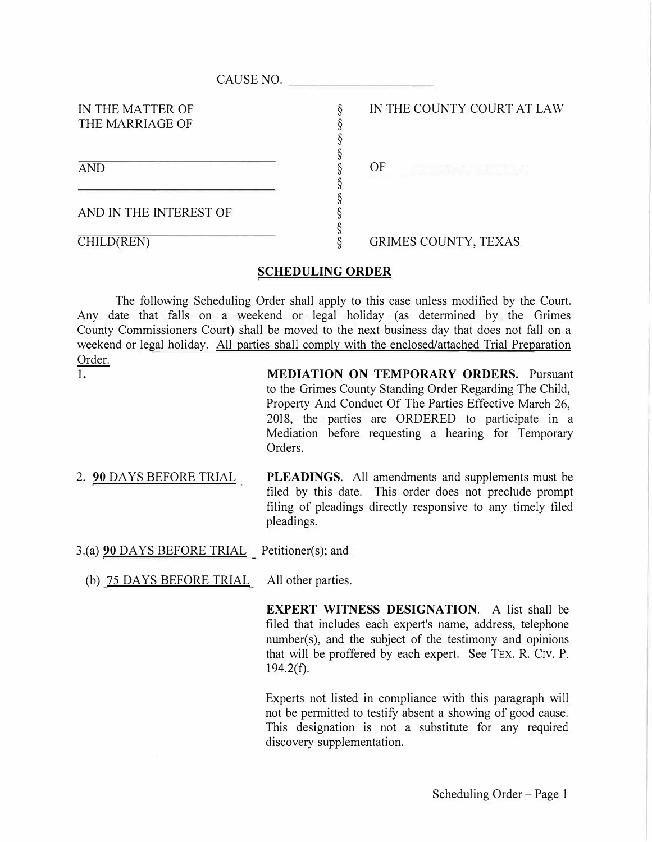| CAUSE NO.                           |                            |
|-------------------------------------|----------------------------|
| IN THE MATTER OF<br>THE MARRIAGE OF | IN THE COUNTY COURT AT LAW |
| <b>AND</b>                          | OF                         |
| AND IN THE INTEREST OF              |                            |
| CHILD(REN)                          | GRIMES COUNTY, TEXAS       |

## **SCHEDULING ORDER**

The following Scheduling Order shall apply to this case unless modified by the Court. Any date that falls on a weekend or legal holiday (as determined by the Grimes County Commissioners Court) shall be moved to the next business day that does not fall on a weekend or legal holiday. All parties shall comply with the enclosed/attached Trial Preparation Order. 1.

**MEDIATION ON TEMPORARY ORDERS.** Pursuant to the Grimes County Standing Order Regarding The Child, Property And Conduct Of The Parties Effective March 26, 2018, the parties are ORDERED to participate in a Mediation before requesting a hearing for Temporary Orders.

- 2. **90** DAYS BEFORE TRIAL **PLEADINGS.** All amendments and supplements must be filed by this date. This order does not preclude prompt filing of pleadings directly responsive to any timely filed pleadings.
- 3.(a) **90** DAYS BEFORE TRIAL Petitioner(s); and
	- (b) 75 DAYS BEFORE TRIAL All other parties.

**EXPERT WITNESS DESIGNATION.** A list shall be filed that includes each expert's name, address, telephone number(s), and the subject of the testimony and opinions that will be proffered by each expert. See TEX. R. C1v. P.  $194.2(f)$ .

Experts not listed in compliance with this paragraph will not be permitted to testify absent a showing of good cause. This designation is not a substitute for any required discovery supplementation.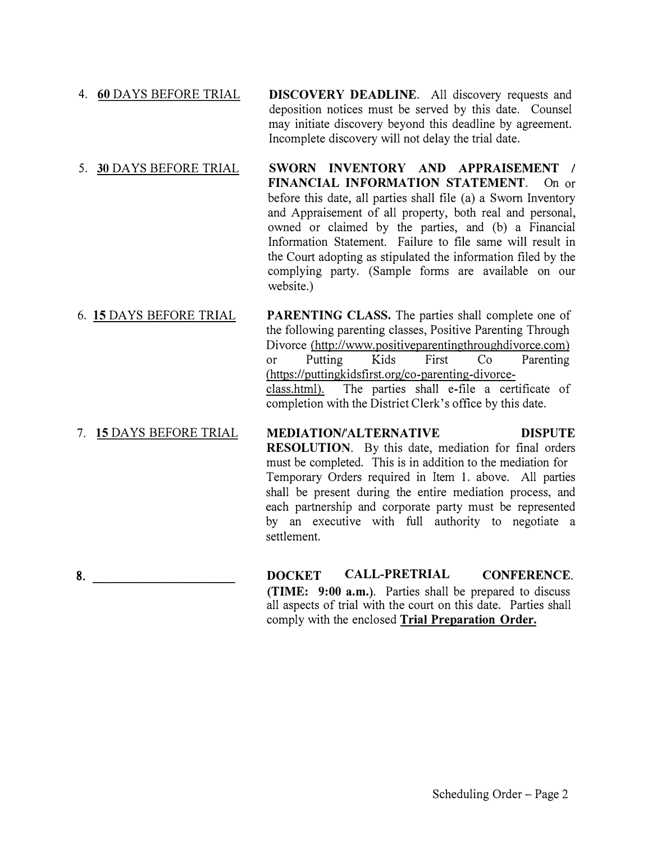- 4. **60** DAYS BEFORE TRIAL **DISCOVERY DEADLINE.** All discovery requests and deposition notices must be served by this date. Counsel may initiate discovery beyond this deadline by agreement. Incomplete discovery will not delay the trial date.
- 5. **30** DAYS BEFORE TRIAL **SWORN INVENTORY AND APPRAISEMENT** *I* **FINANCIAL INFORMATION STATEMENT.** On or before this date, all parties shall file (a) a Sworn Inventory and Appraisement of all property, both real and personal, owned or claimed by the parties, and (b) a Financial Information Statement. Failure to file same will result in the Court adopting as stipulated the information filed by the complying party. (Sample forms are available on our website.)
- 6. **15** DAYS BEFORE TRIAL PARENTING CLASS. The parties shall complete one of the following parenting classes, Positive Parenting Through Divorce (http://www.positiveparentingthroughdivorce.com) or Putting Kids First Co Parenting (https://puttingkidsfirst.org/co-parenting-divorceclass. html). The parties shall e-file a certificate of completion with the District Clerk's office by this date.
- 7. **15** DAYS BEFORE TRIAL **MEDIATION/ALTERNATIVE DISPUTE RESOLUTION.** By this date, mediation for final orders must be completed. This is in addition to the mediation for Temporary Orders required in Item **1.** above. All parties shall be present during the entire mediation process, and each partnership and corporate party must be represented by an executive with full authority to negotiate a settlement.
- 8. **\_\_\_\_\_\_\_\_\_\_\_\_\_\_\_\_\_\_\_\_\_\_\_**

**DOCKET CALL-PRETRIAL CONFERENCE. (TIME: 9:00 a.m.).** Parties shall be prepared to discuss all aspects of trial with the court on this date. Parties shall comply with the enclosed **Trial Preparation Order.**